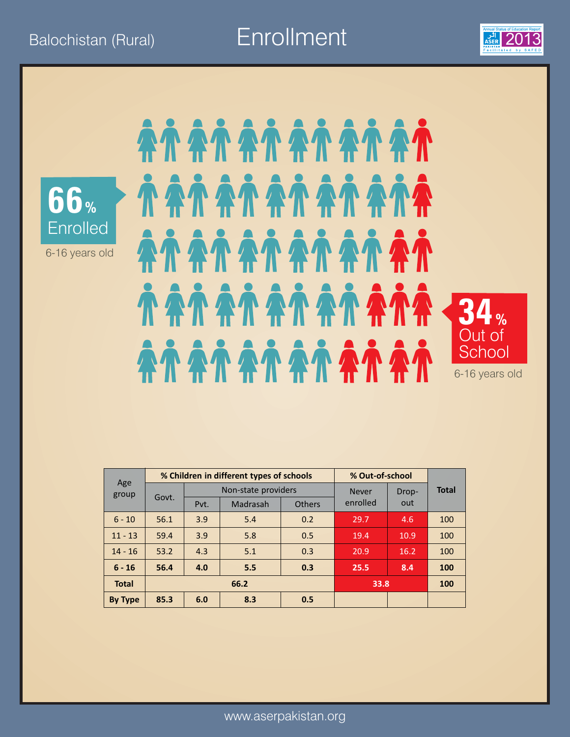Balochistan (Rural) **Enrollment** 2013





6-16 years old

### *DARA ARANG ARANG* AÀ AÀ AÀ AÀ AÀ AÀ **TATATATATATA 34%**  Out of **School** 6-16 years old

|              | % Out-of-school<br>% Children in different types of schools |      |                     |               |              |       |              |
|--------------|-------------------------------------------------------------|------|---------------------|---------------|--------------|-------|--------------|
| Age<br>group |                                                             |      | Non-state providers |               | <b>Never</b> | Drop- | <b>Total</b> |
|              | Govt.                                                       | Pvt. | Madrasah            | <b>Others</b> | enrolled     | out   |              |
| $6 - 10$     | 56.1                                                        | 3.9  | 5.4                 | 0.2           | 29.7         | 4.6   | 100          |
| $11 - 13$    | 59.4                                                        | 3.9  | 5.8                 | 0.5           | 19.4         | 10.9  | 100          |
| $14 - 16$    | 53.2                                                        | 4.3  | 5.1                 | 0.3           | 20.9         | 16.2  | 100          |
| $6 - 16$     | 56.4                                                        | 4.0  | 5.5                 | 0.3           | 25.5         | 8.4   | 100          |
| <b>Total</b> |                                                             |      | 66.2                | 33.8          |              | 100   |              |
| By Type      | 85.3                                                        | 6.0  | 8.3                 | 0.5           |              |       |              |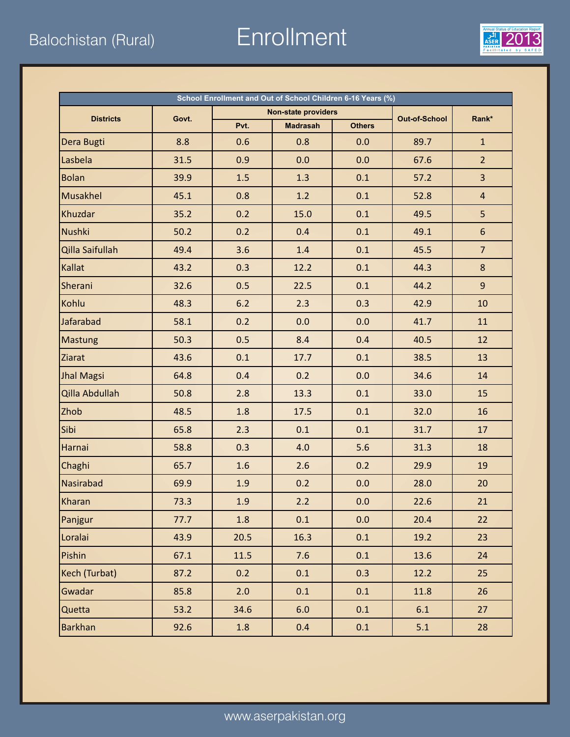Balochistan (Rural) Enrollment 2013



| School Enrollment and Out of School Children 6-16 Years (%) |       |       |                            |               |                      |                 |  |  |  |
|-------------------------------------------------------------|-------|-------|----------------------------|---------------|----------------------|-----------------|--|--|--|
| <b>Districts</b>                                            | Govt. |       | <b>Non-state providers</b> |               | <b>Out-of-School</b> | Rank*           |  |  |  |
|                                                             |       | Pvt.  | <b>Madrasah</b>            | <b>Others</b> |                      |                 |  |  |  |
| Dera Bugti                                                  | 8.8   | 0.6   | 0.8                        | 0.0           | 89.7                 | $\mathbf{1}$    |  |  |  |
| Lasbela                                                     | 31.5  | 0.9   | 0.0                        | 0.0           | 67.6                 | $\overline{2}$  |  |  |  |
| <b>Bolan</b>                                                | 39.9  | 1.5   | 1.3                        | 0.1           | 57.2                 | $\overline{3}$  |  |  |  |
| Musakhel                                                    | 45.1  | 0.8   | 1.2                        | 0.1           | 52.8                 | $\overline{4}$  |  |  |  |
| Khuzdar                                                     | 35.2  | 0.2   | 15.0                       | 0.1           | 49.5                 | 5               |  |  |  |
| <b>Nushki</b>                                               | 50.2  | 0.2   | 0.4                        | 0.1           | 49.1                 | $6\phantom{.}6$ |  |  |  |
| Qilla Saifullah                                             | 49.4  | 3.6   | 1.4                        | 0.1           | 45.5                 | $\overline{7}$  |  |  |  |
| <b>Kallat</b>                                               | 43.2  | 0.3   | 12.2                       | 0.1           | 44.3                 | 8               |  |  |  |
| Sherani                                                     | 32.6  | 0.5   | 22.5                       | 0.1           | 44.2                 | $\overline{9}$  |  |  |  |
| Kohlu                                                       | 48.3  | $6.2$ | 2.3                        | 0.3           | 42.9                 | 10              |  |  |  |
| Jafarabad                                                   | 58.1  | 0.2   | 0.0                        | 0.0           | 41.7                 | 11              |  |  |  |
| <b>Mastung</b>                                              | 50.3  | 0.5   | 8.4                        | 0.4           | 40.5                 | 12              |  |  |  |
| Ziarat                                                      | 43.6  | 0.1   | 17.7                       | 0.1           | 38.5                 | 13              |  |  |  |
| <b>Jhal Magsi</b>                                           | 64.8  | 0.4   | 0.2                        | 0.0           | 34.6                 | 14              |  |  |  |
| Qilla Abdullah                                              | 50.8  | 2.8   | 13.3                       | 0.1           | 33.0                 | 15              |  |  |  |
| Zhob                                                        | 48.5  | 1.8   | 17.5                       | 0.1           | 32.0                 | 16              |  |  |  |
| Sibi                                                        | 65.8  | 2.3   | 0.1                        | 0.1           | 31.7                 | 17              |  |  |  |
| Harnai                                                      | 58.8  | 0.3   | 4.0                        | 5.6           | 31.3                 | 18              |  |  |  |
| Chaghi                                                      | 65.7  | 1.6   | 2.6                        | 0.2           | 29.9                 | 19              |  |  |  |
| Nasirabad                                                   | 69.9  | 1.9   | 0.2                        | 0.0           | 28.0                 | 20              |  |  |  |
| Kharan                                                      | 73.3  | 1.9   | 2.2                        | 0.0           | 22.6                 | 21              |  |  |  |
| Panjgur                                                     | 77.7  | 1.8   | 0.1                        | 0.0           | 20.4                 | 22              |  |  |  |
| Loralai                                                     | 43.9  | 20.5  | 16.3                       | 0.1           | 19.2                 | 23              |  |  |  |
| Pishin                                                      | 67.1  | 11.5  | 7.6                        | 0.1           | 13.6                 | 24              |  |  |  |
| Kech (Turbat)                                               | 87.2  | 0.2   | 0.1                        | 0.3           | 12.2                 | 25              |  |  |  |
| Gwadar                                                      | 85.8  | 2.0   | 0.1                        | 0.1           | 11.8                 | 26              |  |  |  |
| Quetta                                                      | 53.2  | 34.6  | 6.0                        | 0.1           | 6.1                  | 27              |  |  |  |
| Barkhan                                                     | 92.6  | 1.8   | 0.4                        | 0.1           | 5.1                  | 28              |  |  |  |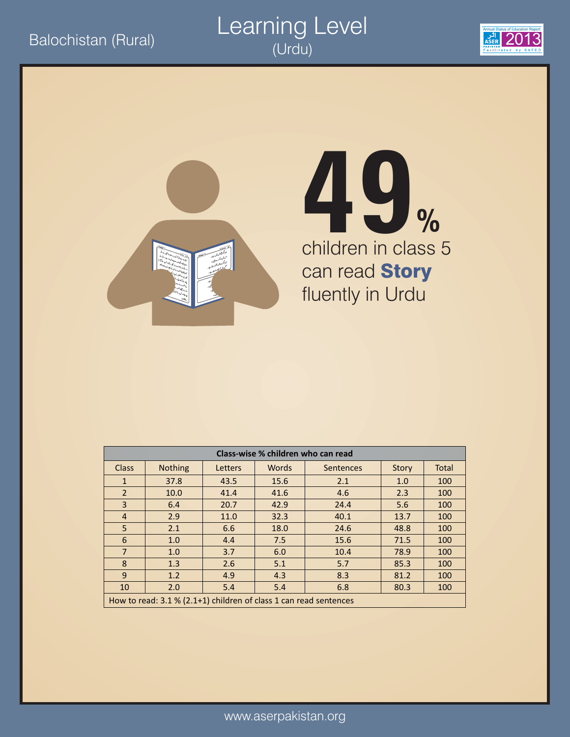



# children in class 5 can read **Story** fluently in Urdu **49%**

| Class-wise % children who can read |                |                                                                   |              |           |       |              |  |  |  |  |  |
|------------------------------------|----------------|-------------------------------------------------------------------|--------------|-----------|-------|--------------|--|--|--|--|--|
| <b>Class</b>                       | <b>Nothing</b> | Letters                                                           | <b>Words</b> | Sentences | Story | <b>Total</b> |  |  |  |  |  |
| $\mathbf{1}$                       | 37.8           | 43.5                                                              | 15.6         | 2.1       | 1.0   | 100          |  |  |  |  |  |
| 2                                  | 10.0           | 41.4                                                              | 41.6         | 4.6       | 2.3   | 100          |  |  |  |  |  |
| 3                                  | 6.4            | 20.7                                                              | 42.9         | 24.4      | 5.6   | 100          |  |  |  |  |  |
| $\overline{4}$                     | 2.9            | 11.0                                                              | 32.3         | 40.1      | 13.7  | 100          |  |  |  |  |  |
| 5                                  | 2.1            | 6.6                                                               | 18.0         | 24.6      | 48.8  | 100          |  |  |  |  |  |
| 6                                  | 1.0            | 4.4                                                               | 7.5          | 15.6      | 71.5  | 100          |  |  |  |  |  |
| $\overline{7}$                     | 1.0            | 3.7                                                               | 6.0          | 10.4      | 78.9  | 100          |  |  |  |  |  |
| 8                                  | 1.3            | 2.6                                                               | 5.1          | 5.7       | 85.3  | 100          |  |  |  |  |  |
| 9                                  | 1.2            | 4.9                                                               | 4.3          | 8.3       | 81.2  | 100          |  |  |  |  |  |
| 10                                 | 2.0            | 5.4                                                               | 5.4          | 6.8       | 80.3  | 100          |  |  |  |  |  |
|                                    |                | How to read: 3.1 % (2.1+1) children of class 1 can read sentences |              |           |       |              |  |  |  |  |  |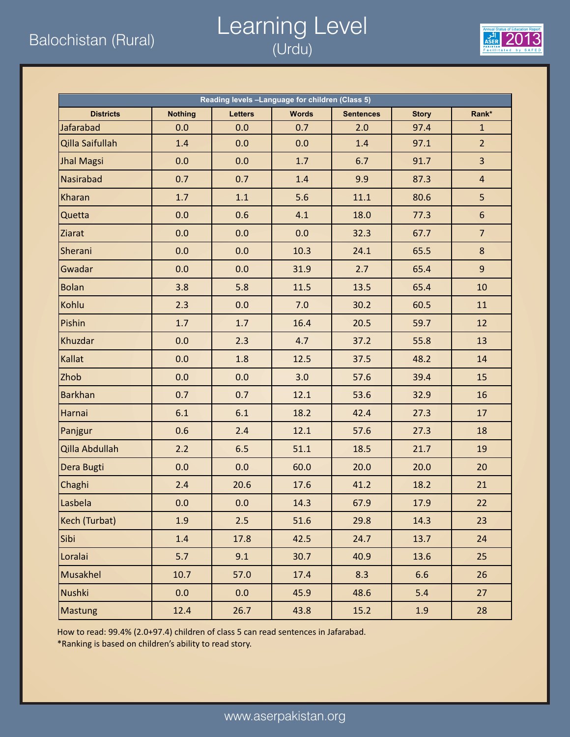### Balochistan (Rural) 2013 Learning Level (Urdu)



| Reading levels -Language for children (Class 5) |                |                |              |                  |              |                |  |  |  |  |
|-------------------------------------------------|----------------|----------------|--------------|------------------|--------------|----------------|--|--|--|--|
| <b>Districts</b>                                | <b>Nothing</b> | <b>Letters</b> | <b>Words</b> | <b>Sentences</b> | <b>Story</b> | Rank*          |  |  |  |  |
| Jafarabad                                       | 0.0            | 0.0            | 0.7          | 2.0              | 97.4         | $\mathbf{1}$   |  |  |  |  |
| Qilla Saifullah                                 | 1.4            | 0.0            | 0.0          | 1.4              | 97.1         | 2 <sup>2</sup> |  |  |  |  |
| <b>Jhal Magsi</b>                               | 0.0            | 0.0            | 1.7          | 6.7              | 91.7         | $\overline{3}$ |  |  |  |  |
| Nasirabad                                       | 0.7            | 0.7            | 1.4          | 9.9              | 87.3         | $\overline{a}$ |  |  |  |  |
| Kharan                                          | 1.7            | 1.1            | 5.6          | 11.1             | 80.6         | 5              |  |  |  |  |
| Quetta                                          | 0.0            | 0.6            | 4.1          | 18.0             | 77.3         | $6\phantom{a}$ |  |  |  |  |
| Ziarat                                          | 0.0            | 0.0            | 0.0          | 32.3             | 67.7         | $\overline{7}$ |  |  |  |  |
| Sherani                                         | 0.0            | 0.0            | 10.3         | 24.1             | 65.5         | 8              |  |  |  |  |
| Gwadar                                          | 0.0            | 0.0            | 31.9         | 2.7              | 65.4         | 9              |  |  |  |  |
| <b>Bolan</b>                                    | 3.8            | 5.8            | 11.5         | 13.5             | 65.4         | 10             |  |  |  |  |
| Kohlu                                           | 2.3            | 0.0            | 7.0          | 30.2             | 60.5         | 11             |  |  |  |  |
| Pishin                                          | 1.7            | 1.7            | 16.4         | 20.5             | 59.7         | 12             |  |  |  |  |
| Khuzdar                                         | 0.0            | 2.3            | 4.7          | 37.2             | 55.8         | 13             |  |  |  |  |
| Kallat                                          | 0.0            | 1.8            | 12.5         | 37.5             | 48.2         | 14             |  |  |  |  |
| Zhob                                            | 0.0            | 0.0            | 3.0          | 57.6             | 39.4         | 15             |  |  |  |  |
| <b>Barkhan</b>                                  | 0.7            | 0.7            | 12.1         | 53.6             | 32.9         | 16             |  |  |  |  |
| Harnai                                          | 6.1            | 6.1            | 18.2         | 42.4             | 27.3         | 17             |  |  |  |  |
| Panjgur                                         | 0.6            | 2.4            | 12.1         | 57.6             | 27.3         | 18             |  |  |  |  |
| Qilla Abdullah                                  | 2.2            | 6.5            | 51.1         | 18.5             | 21.7         | 19             |  |  |  |  |
| Dera Bugti                                      | 0.0            | 0.0            | 60.0         | 20.0             | 20.0         | 20             |  |  |  |  |
| Chaghi                                          | 2.4            | 20.6           | 17.6         | 41.2             | 18.2         | 21             |  |  |  |  |
| Lasbela                                         | 0.0            | 0.0            | 14.3         | 67.9             | 17.9         | 22             |  |  |  |  |
| Kech (Turbat)                                   | 1.9            | 2.5            | 51.6         | 29.8             | 14.3         | 23             |  |  |  |  |
| Sibi                                            | 1.4            | 17.8           | 42.5         | 24.7             | 13.7         | 24             |  |  |  |  |
| Loralai                                         | 5.7            | 9.1            | 30.7         | 40.9             | 13.6         | 25             |  |  |  |  |
| <b>Musakhel</b>                                 | 10.7           | 57.0           | 17.4         | 8.3              | 6.6          | 26             |  |  |  |  |
| <b>Nushki</b>                                   | 0.0            | 0.0            | 45.9         | 48.6             | 5.4          | 27             |  |  |  |  |
| Mastung                                         | 12.4           | 26.7           | 43.8         | 15.2             | 1.9          | 28             |  |  |  |  |

How to read: 99.4% (2.0+97.4) children of class 5 can read sentences in Jafarabad.

\*Ranking is based on children's ability to read story.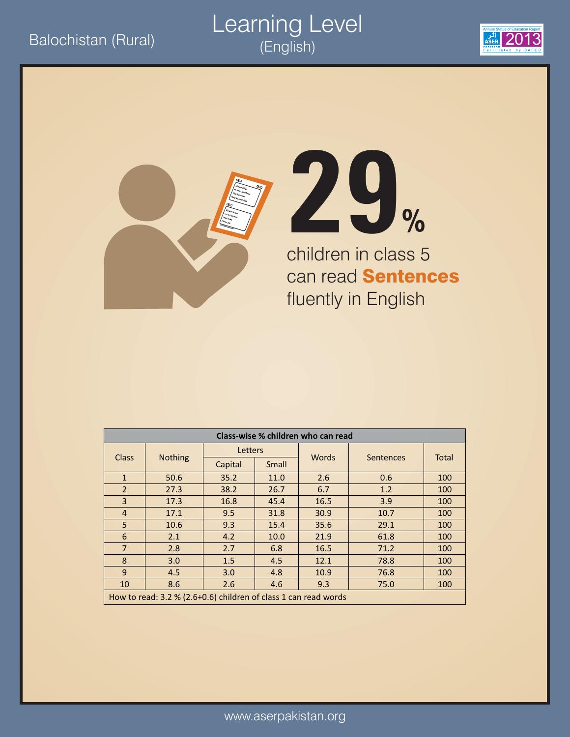#### Balochistan (Rural)<br>
Exposition (English) Learning Level (English)







children in class 5 can read **Sentences** fluently in English

| Class-wise % children who can read |                                                                 |         |                    |              |           |              |  |  |  |
|------------------------------------|-----------------------------------------------------------------|---------|--------------------|--------------|-----------|--------------|--|--|--|
|                                    |                                                                 | Letters |                    | <b>Words</b> |           |              |  |  |  |
| <b>Class</b>                       | <b>Nothing</b>                                                  | Capital | Small              |              | Sentences | <b>Total</b> |  |  |  |
| $\mathbf{1}$                       | 50.6                                                            | 35.2    | 11.0               | 2.6          | 0.6       | 100          |  |  |  |
| $\overline{2}$                     | 27.3                                                            | 38.2    | 26.7               | 6.7          | 1.2       | 100          |  |  |  |
| $\overline{3}$                     | 17.3                                                            | 16.8    | 45.4               | 16.5         | 3.9       | 100          |  |  |  |
| $\overline{4}$                     | 17.1                                                            | 9.5     | 31.8               | 30.9         | 10.7      | 100          |  |  |  |
| 5                                  | 10.6                                                            | 9.3     | 15.4               | 35.6         | 29.1      | 100          |  |  |  |
| 6                                  | 2.1                                                             | 4.2     | 10.0               | 21.9         | 61.8      | 100          |  |  |  |
| $\overline{7}$                     | 2.8                                                             | 2.7     | 6.8                | 16.5         | 71.2      | 100          |  |  |  |
| 8                                  | 3.0                                                             | 1.5     | 4.5                | 12.1         | 78.8      | 100          |  |  |  |
| 9                                  | 4.5                                                             | 3.0     | 4.8                | 10.9         | 76.8      | 100          |  |  |  |
| 10                                 | 8.6                                                             | 2.6     | 9.3<br>75.0<br>4.6 |              |           |              |  |  |  |
|                                    | How to read: 3.2 % (2.6+0.6) children of class 1 can read words |         |                    |              |           |              |  |  |  |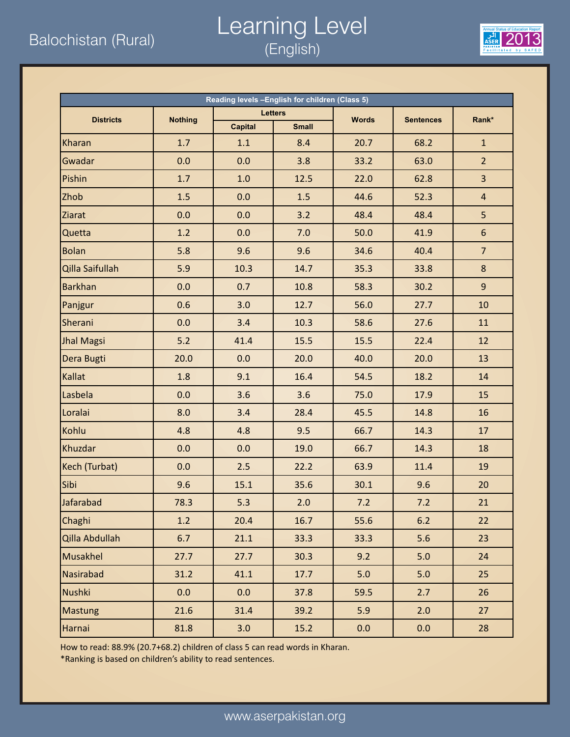### Balochistan (Rural) **2013**<br>Balochistan (Rural) *2013 (English*) Learning Level (English)



| Reading levels -English for children (Class 5) |                |                |                |              |                  |                 |  |  |  |
|------------------------------------------------|----------------|----------------|----------------|--------------|------------------|-----------------|--|--|--|
| <b>Districts</b>                               | <b>Nothing</b> |                | <b>Letters</b> | <b>Words</b> | <b>Sentences</b> | Rank*           |  |  |  |
|                                                |                | <b>Capital</b> | <b>Small</b>   |              |                  |                 |  |  |  |
| Kharan                                         | 1.7            | 1.1            | 8.4            | 20.7         | 68.2             | $\mathbf{1}$    |  |  |  |
| Gwadar                                         | 0.0            | 0.0            | 3.8            | 33.2         | 63.0             | 2 <sup>1</sup>  |  |  |  |
| Pishin                                         | 1.7            | 1.0            | 12.5           | 22.0         | 62.8             | $\overline{3}$  |  |  |  |
| Zhob                                           | 1.5            | 0.0            | 1.5            | 44.6         | 52.3             | $\overline{4}$  |  |  |  |
| Ziarat                                         | 0.0            | 0.0            | 3.2            | 48.4         | 48.4             | 5               |  |  |  |
| Quetta                                         | 1.2            | 0.0            | 7.0            | 50.0         | 41.9             | $6\phantom{.}$  |  |  |  |
| <b>Bolan</b>                                   | 5.8            | 9.6            | 9.6            | 34.6         | 40.4             | $7\overline{ }$ |  |  |  |
| Qilla Saifullah                                | 5.9            | 10.3           | 14.7           | 35.3         | 33.8             | 8               |  |  |  |
| <b>Barkhan</b>                                 | 0.0            | 0.7            | 10.8           | 58.3         | 30.2             | $\overline{9}$  |  |  |  |
| Panjgur                                        | 0.6            | 3.0            | 12.7           | 56.0         | 27.7             | 10              |  |  |  |
| Sherani                                        | 0.0            | 3.4            | 10.3           | 58.6         | 27.6             | 11              |  |  |  |
| <b>Jhal Magsi</b>                              | $5.2$          | 41.4           | 15.5           | 15.5         | 22.4             | 12              |  |  |  |
| Dera Bugti                                     | 20.0           | 0.0            | 20.0           | 40.0         | 20.0             | 13              |  |  |  |
| Kallat                                         | 1.8            | 9.1            | 16.4           | 54.5         | 18.2             | 14              |  |  |  |
| Lasbela                                        | 0.0            | 3.6            | 3.6            | 75.0         | 17.9             | 15              |  |  |  |
| Loralai                                        | 8.0            | 3.4            | 28.4           | 45.5         | 14.8             | 16              |  |  |  |
| Kohlu                                          | 4.8            | 4.8            | 9.5            | 66.7         | 14.3             | 17              |  |  |  |
| Khuzdar                                        | 0.0            | 0.0            | 19.0           | 66.7         | 14.3             | 18              |  |  |  |
| Kech (Turbat)                                  | 0.0            | 2.5            | 22.2           | 63.9         | 11.4             | 19              |  |  |  |
| Sibi                                           | 9.6            | 15.1           | 35.6           | 30.1         | 9.6              | 20              |  |  |  |
| Jafarabad                                      | 78.3           | 5.3            | 2.0            | 7.2          | 7.2              | 21              |  |  |  |
| Chaghi                                         | 1.2            | 20.4           | 16.7           | 55.6         | 6.2              | 22              |  |  |  |
| Qilla Abdullah                                 | 6.7            | 21.1           | 33.3           | 33.3         | 5.6              | 23              |  |  |  |
| Musakhel                                       | 27.7           | 27.7           | 30.3           | 9.2          | $5.0$            | 24              |  |  |  |
| Nasirabad                                      | 31.2           | 41.1           | 17.7           | 5.0          | 5.0              | 25              |  |  |  |
| Nushki                                         | 0.0            | 0.0            | 37.8           | 59.5         | 2.7              | 26              |  |  |  |
| <b>Mastung</b>                                 | 21.6           | 31.4           | 39.2           | 5.9          | 2.0              | 27              |  |  |  |
| Harnai                                         | 81.8           | 3.0            | 15.2           | 0.0          | 0.0              | 28              |  |  |  |

How to read: 88.9% (20.7+68.2) children of class 5 can read words in Kharan.

\*Ranking is based on children's ability to read sentences.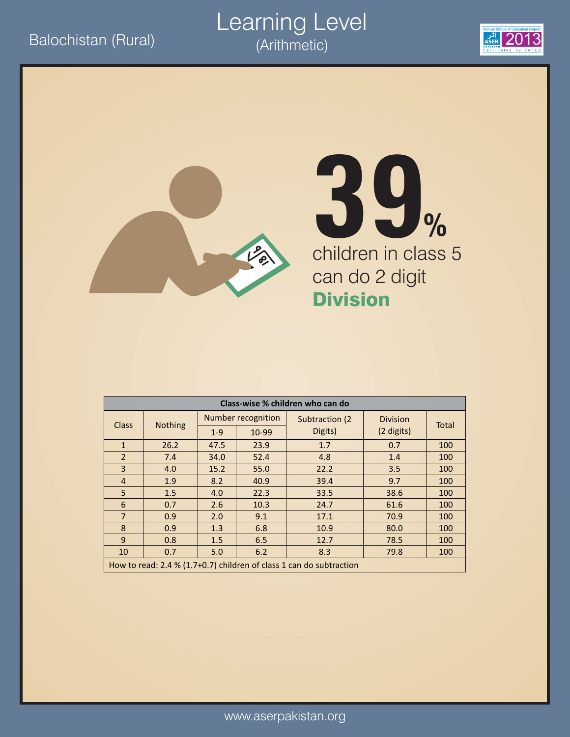#### Balochistan (Rural) 2013<br>
Arithmetic) 2013 Learning Level (Arithmetic)





# children in class 5 can do 2 digit Division **39%**

| Class-wise % children who can do |                                                                     |         |                    |                 |                 |              |  |  |  |
|----------------------------------|---------------------------------------------------------------------|---------|--------------------|-----------------|-----------------|--------------|--|--|--|
| <b>Class</b>                     | <b>Nothing</b>                                                      |         | Number recognition | Subtraction (2) | <b>Division</b> | <b>Total</b> |  |  |  |
|                                  |                                                                     | $1 - 9$ | Digits)<br>10-99   |                 | (2 digits)      |              |  |  |  |
| $\mathbf{1}$                     | 26.2                                                                | 47.5    | 23.9               | 1.7             | 0.7             | 100          |  |  |  |
| $\overline{2}$                   | 7.4                                                                 | 34.0    | 52.4               | 4.8             | 1.4             | 100          |  |  |  |
| 3                                | 4.0                                                                 | 15.2    | 55.0               | 22.2            | 3.5             | 100          |  |  |  |
| $\overline{4}$                   | 1.9                                                                 | 8.2     | 40.9               | 39.4            | 9.7             | 100          |  |  |  |
| 5                                | 1.5                                                                 | 4.0     | 22.3               | 33.5            | 38.6            | 100          |  |  |  |
| 6                                | 0.7                                                                 | 2.6     | 10.3               | 24.7            | 61.6            | 100          |  |  |  |
| $\overline{7}$                   | 0.9                                                                 | 2.0     | 9.1                | 17.1            | 70.9            | 100          |  |  |  |
| 8                                | 0.9                                                                 | 1.3     | 6.8                | 10.9            | 80.0            | 100          |  |  |  |
| 9                                | 0.8                                                                 | 1.5     | 6.5                | 12.7            | 78.5            | 100          |  |  |  |
| 10                               | 0.7                                                                 | 5.0     | 6.2                | 8.3             | 79.8            | 100          |  |  |  |
|                                  | How to read: 2.4 % (1.7+0.7) children of class 1 can do subtraction |         |                    |                 |                 |              |  |  |  |